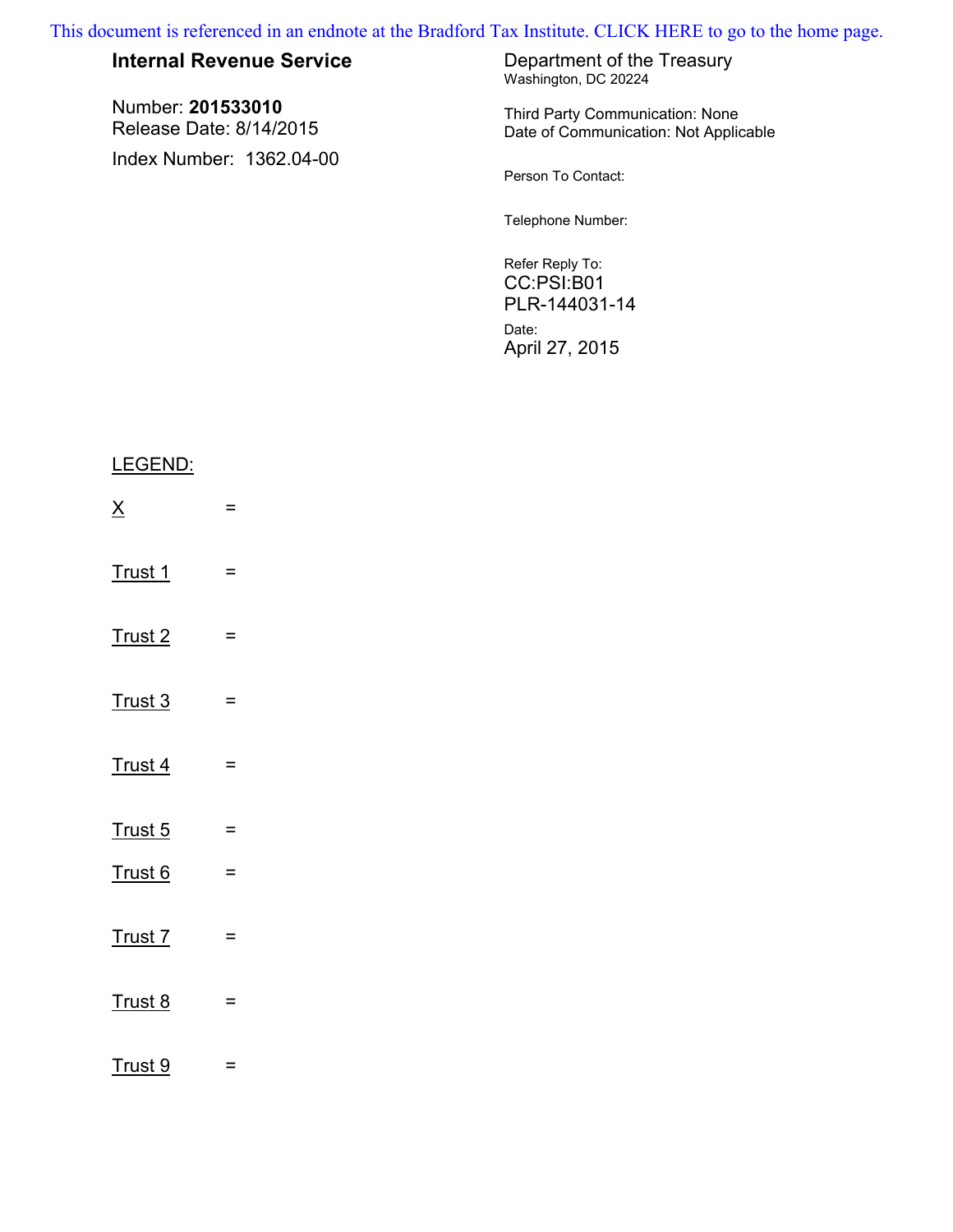This document is referenced in an endnote at the Bradford Tax Institute. CLICK HERE to go to the home page.

| <b>Internal Revenue Service</b>              | Department of the Treasury<br>Washington, DC 20224                       |
|----------------------------------------------|--------------------------------------------------------------------------|
| Number: 201533010<br>Release Date: 8/14/2015 | Third Party Communication: None<br>Date of Communication: Not Applicable |
| Index Number: 1362.04-00                     | Person To Contact:                                                       |
|                                              | Telephone Number:                                                        |
|                                              | Refer Reply To:<br>CC:PSI:B01<br>PLR-144031-14                           |
|                                              | Date:<br>April 27, 2015                                                  |

# LEGEND:

| $\underline{X}$    | =        |
|--------------------|----------|
| Trust 1            | $=$      |
| Trust <sub>2</sub> | =        |
| Trust 3            | $=$      |
| Trust 4            | =        |
| Trust 5            | $\equiv$ |
| Trust 6            | $=$      |
| Trust 7            | $=$      |
| Trust 8            | =        |
| Trust 9            | =        |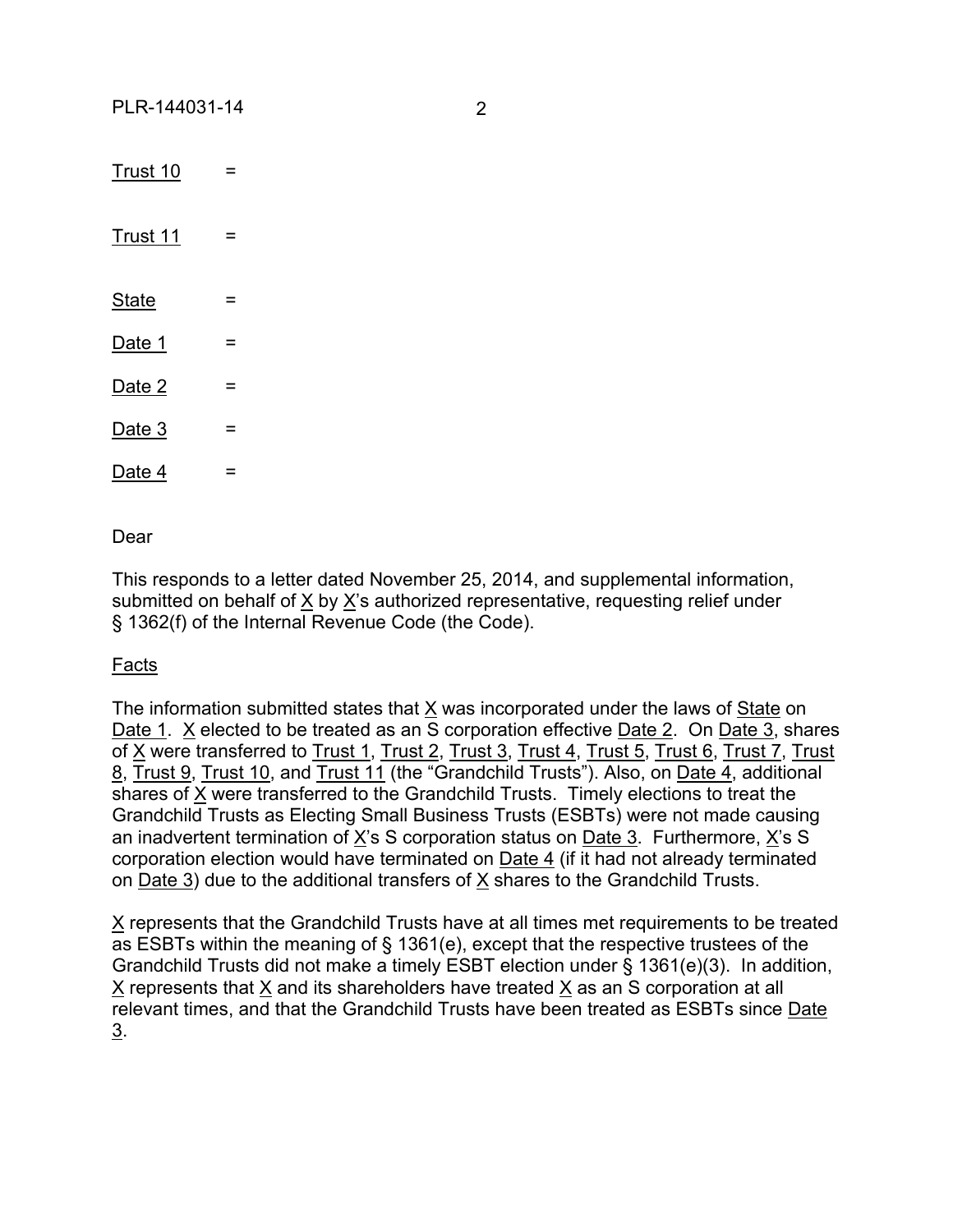$\frac{3.1}{2}$  Trust 10  $\frac{1}{2}$  =  $\frac{3.1}{2}$  Trust 11  $\frac{1}{2}$  =  $State =$ Date 1  $=$ Date  $2 =$ Date  $3 =$ Date  $4 =$ 

Dear

This responds to a letter dated November 25, 2014, and supplemental information, submitted on behalf of X by X's authorized representative, requesting relief under § 1362(f) of the Internal Revenue Code (the Code).

## Facts

The information submitted states that X was incorporated under the laws of State on Date 1. X elected to be treated as an S corporation effective Date 2. On Date 3, shares of X were transferred to Trust 1, Trust 2, Trust 3, Trust 4, Trust 5, Trust 6, Trust 7, Trust 8, Trust 9, Trust 10, and Trust 11 (the "Grandchild Trusts"). Also, on Date 4, additional shares of X were transferred to the Grandchild Trusts. Timely elections to treat the Grandchild Trusts as Electing Small Business Trusts (ESBTs) were not made causing an inadvertent termination of  $X$ 's S corporation status on Date 3. Furthermore,  $X$ 's S corporation election would have terminated on Date 4 (if it had not already terminated on Date 3) due to the additional transfers of  $X$  shares to the Grandchild Trusts.

X represents that the Grandchild Trusts have at all times met requirements to be treated as ESBTs within the meaning of § 1361(e), except that the respective trustees of the Grandchild Trusts did not make a timely ESBT election under § 1361(e)(3). In addition, X represents that X and its shareholders have treated X as an S corporation at all relevant times, and that the Grandchild Trusts have been treated as ESBTs since Date 3.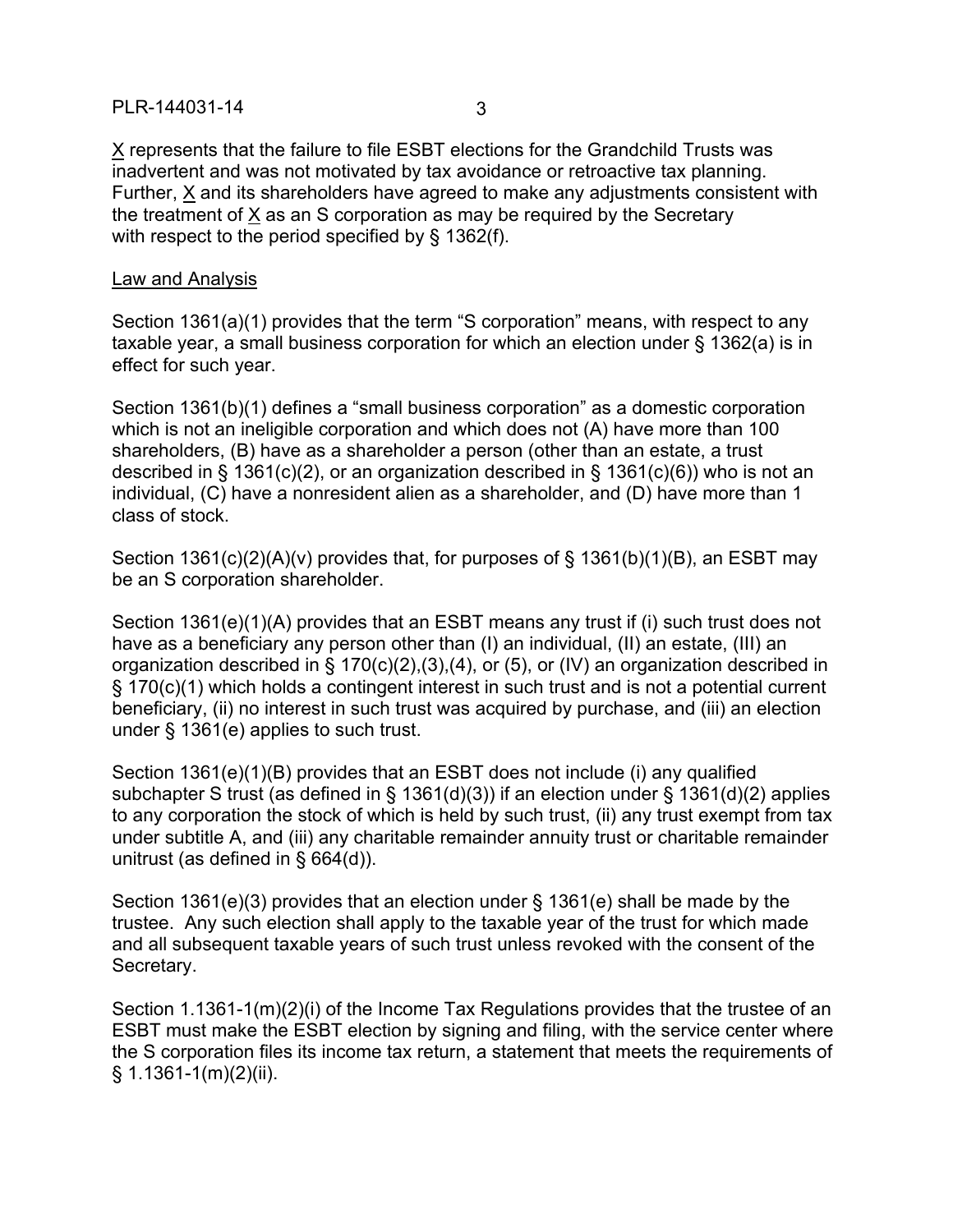### PLR-144031-14 3

X represents that the failure to file ESBT elections for the Grandchild Trusts was inadvertent and was not motivated by tax avoidance or retroactive tax planning. Further, X and its shareholders have agreed to make any adjustments consistent with the treatment of X as an S corporation as may be required by the Secretary with respect to the period specified by § 1362(f).

#### Law and Analysis

Section 1361(a)(1) provides that the term "S corporation" means, with respect to any taxable year, a small business corporation for which an election under § 1362(a) is in effect for such year.

Section 1361(b)(1) defines a "small business corporation" as a domestic corporation which is not an ineligible corporation and which does not (A) have more than 100 shareholders, (B) have as a shareholder a person (other than an estate, a trust described in § 1361(c)(2), or an organization described in § 1361(c)(6)) who is not an individual, (C) have a nonresident alien as a shareholder, and (D) have more than 1 class of stock.

Section 1361(c)(2)(A)(v) provides that, for purposes of § 1361(b)(1)(B), an ESBT may be an S corporation shareholder.

Section 1361(e)(1)(A) provides that an ESBT means any trust if (i) such trust does not have as a beneficiary any person other than (I) an individual, (II) an estate, (III) an organization described in § 170(c)(2),(3),(4), or (5), or (IV) an organization described in § 170(c)(1) which holds a contingent interest in such trust and is not a potential current beneficiary, (ii) no interest in such trust was acquired by purchase, and (iii) an election under § 1361(e) applies to such trust.

Section 1361(e)(1)(B) provides that an ESBT does not include (i) any qualified subchapter S trust (as defined in § 1361(d)(3)) if an election under § 1361(d)(2) applies to any corporation the stock of which is held by such trust, (ii) any trust exempt from tax under subtitle A, and (iii) any charitable remainder annuity trust or charitable remainder unitrust (as defined in § 664(d)).

Section 1361(e)(3) provides that an election under § 1361(e) shall be made by the trustee. Any such election shall apply to the taxable year of the trust for which made and all subsequent taxable years of such trust unless revoked with the consent of the Secretary.

Section 1.1361-1(m)(2)(i) of the Income Tax Regulations provides that the trustee of an ESBT must make the ESBT election by signing and filing, with the service center where the S corporation files its income tax return, a statement that meets the requirements of § 1.1361-1(m)(2)(ii).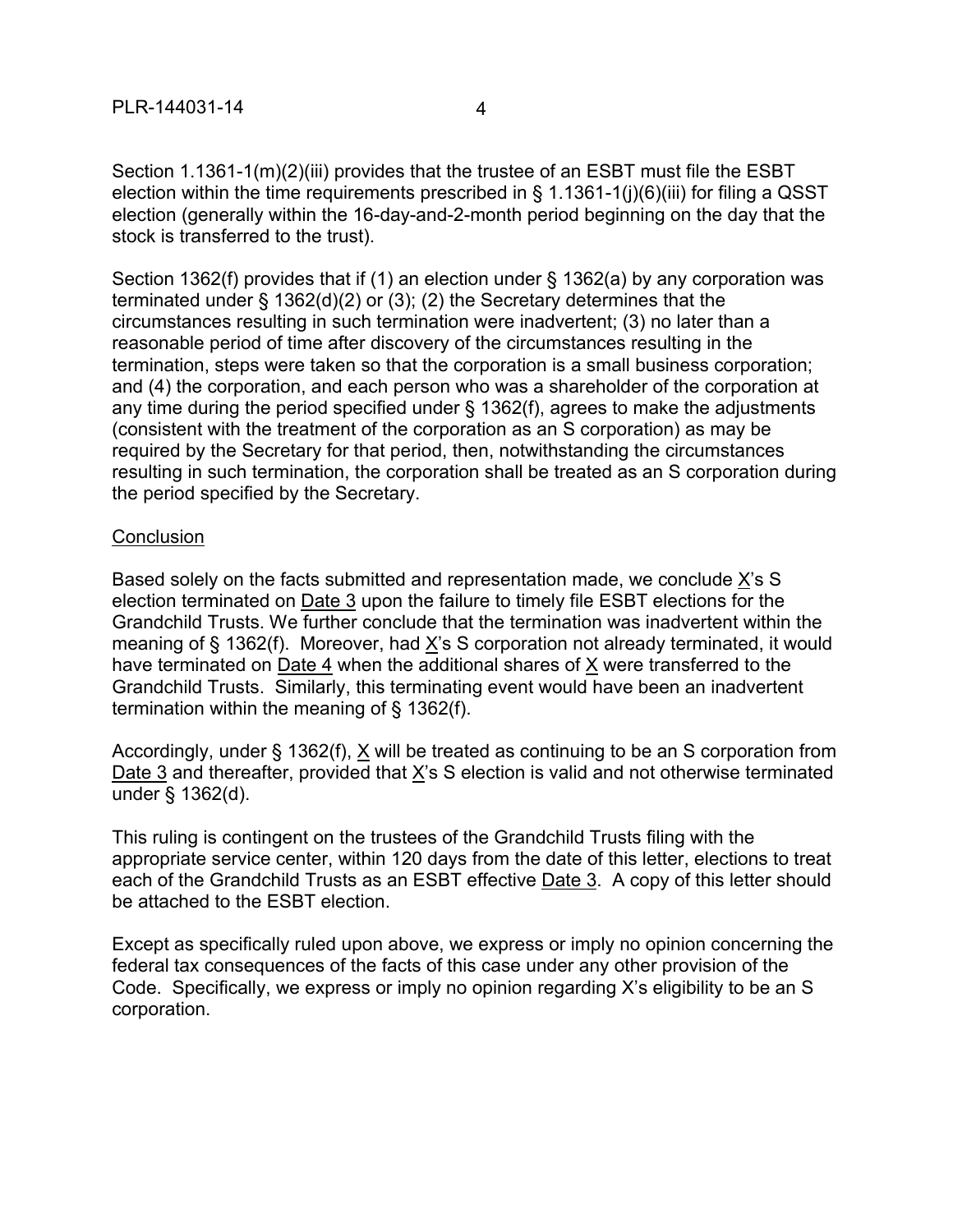Section 1.1361-1(m)(2)(iii) provides that the trustee of an ESBT must file the ESBT election within the time requirements prescribed in § 1.1361-1(j)(6)(iii) for filing a QSST election (generally within the 16-day-and-2-month period beginning on the day that the stock is transferred to the trust).

Section 1362(f) provides that if (1) an election under § 1362(a) by any corporation was terminated under § 1362(d)(2) or (3); (2) the Secretary determines that the circumstances resulting in such termination were inadvertent; (3) no later than a reasonable period of time after discovery of the circumstances resulting in the termination, steps were taken so that the corporation is a small business corporation; and (4) the corporation, and each person who was a shareholder of the corporation at any time during the period specified under § 1362(f), agrees to make the adjustments (consistent with the treatment of the corporation as an S corporation) as may be required by the Secretary for that period, then, notwithstanding the circumstances resulting in such termination, the corporation shall be treated as an S corporation during the period specified by the Secretary.

### **Conclusion**

Based solely on the facts submitted and representation made, we conclude X's S election terminated on Date 3 upon the failure to timely file ESBT elections for the Grandchild Trusts. We further conclude that the termination was inadvertent within the meaning of § 1362(f). Moreover, had X's S corporation not already terminated, it would have terminated on Date 4 when the additional shares of X were transferred to the Grandchild Trusts. Similarly, this terminating event would have been an inadvertent termination within the meaning of § 1362(f).

Accordingly, under § 1362(f), X will be treated as continuing to be an S corporation from Date 3 and thereafter, provided that X's S election is valid and not otherwise terminated under § 1362(d).

This ruling is contingent on the trustees of the Grandchild Trusts filing with the appropriate service center, within 120 days from the date of this letter, elections to treat each of the Grandchild Trusts as an ESBT effective Date 3. A copy of this letter should be attached to the ESBT election.

Except as specifically ruled upon above, we express or imply no opinion concerning the federal tax consequences of the facts of this case under any other provision of the Code. Specifically, we express or imply no opinion regarding X's eligibility to be an S corporation.